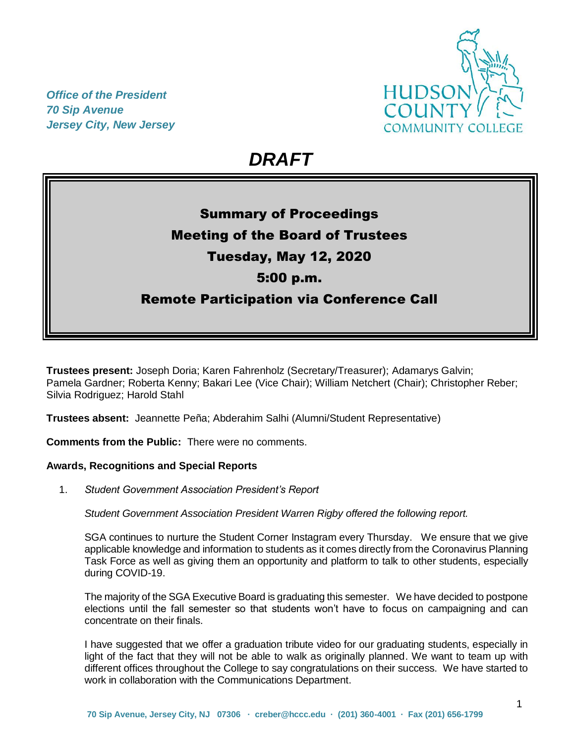*Office of the President 70 Sip Avenue Jersey City, New Jersey*



# *DRAFT*

## Summary of Proceedings Meeting of the Board of Trustees Tuesday, May 12, 2020 5:00 p.m. Remote Participation via Conference Call

**Trustees present:** Joseph Doria; Karen Fahrenholz (Secretary/Treasurer); Adamarys Galvin; Pamela Gardner; Roberta Kenny; Bakari Lee (Vice Chair); William Netchert (Chair); Christopher Reber; Silvia Rodriguez; Harold Stahl

**Trustees absent:** Jeannette Peña; Abderahim Salhi (Alumni/Student Representative)

**Comments from the Public:** There were no comments.

## **Awards, Recognitions and Special Reports**

1. *Student Government Association President's Report* 

*Student Government Association President Warren Rigby offered the following report.*

SGA continues to nurture the Student Corner Instagram every Thursday. We ensure that we give applicable knowledge and information to students as it comes directly from the Coronavirus Planning Task Force as well as giving them an opportunity and platform to talk to other students, especially during COVID-19.

The majority of the SGA Executive Board is graduating this semester. We have decided to postpone elections until the fall semester so that students won't have to focus on campaigning and can concentrate on their finals.

I have suggested that we offer a graduation tribute video for our graduating students, especially in light of the fact that they will not be able to walk as originally planned. We want to team up with different offices throughout the College to say congratulations on their success. We have started to work in collaboration with the Communications Department.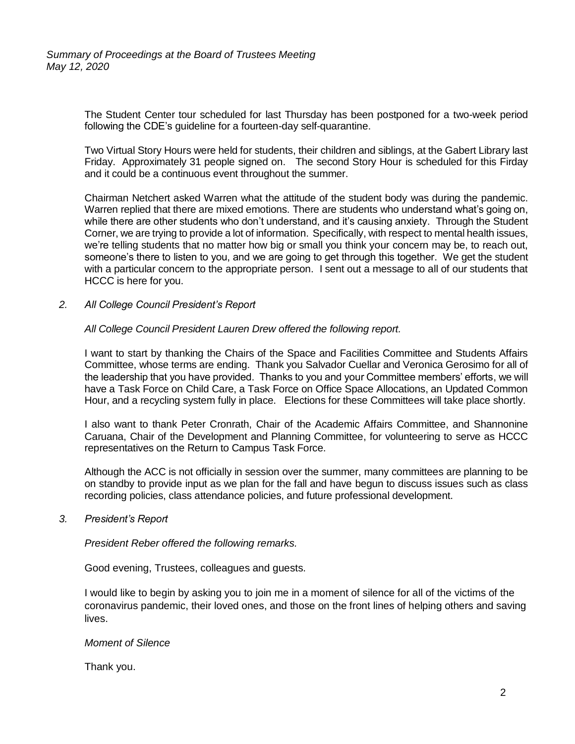The Student Center tour scheduled for last Thursday has been postponed for a two-week period following the CDE's guideline for a fourteen-day self-quarantine.

Two Virtual Story Hours were held for students, their children and siblings, at the Gabert Library last Friday. Approximately 31 people signed on. The second Story Hour is scheduled for this Firday and it could be a continuous event throughout the summer.

Chairman Netchert asked Warren what the attitude of the student body was during the pandemic. Warren replied that there are mixed emotions. There are students who understand what's going on, while there are other students who don't understand, and it's causing anxiety. Through the Student Corner, we are trying to provide a lot of information. Specifically, with respect to mental health issues, we're telling students that no matter how big or small you think your concern may be, to reach out, someone's there to listen to you, and we are going to get through this together. We get the student with a particular concern to the appropriate person. I sent out a message to all of our students that HCCC is here for you.

*2. All College Council President's Report* 

### *All College Council President Lauren Drew offered the following report.*

I want to start by thanking the Chairs of the Space and Facilities Committee and Students Affairs Committee, whose terms are ending. Thank you Salvador Cuellar and Veronica Gerosimo for all of the leadership that you have provided. Thanks to you and your Committee members' efforts, we will have a Task Force on Child Care, a Task Force on Office Space Allocations, an Updated Common Hour, and a recycling system fully in place. Elections for these Committees will take place shortly.

I also want to thank Peter Cronrath, Chair of the Academic Affairs Committee, and Shannonine Caruana, Chair of the Development and Planning Committee, for volunteering to serve as HCCC representatives on the Return to Campus Task Force.

Although the ACC is not officially in session over the summer, many committees are planning to be on standby to provide input as we plan for the fall and have begun to discuss issues such as class recording policies, class attendance policies, and future professional development.

#### *3. President's Report*

*President Reber offered the following remarks.*

Good evening, Trustees, colleagues and guests.

I would like to begin by asking you to join me in a moment of silence for all of the victims of the coronavirus pandemic, their loved ones, and those on the front lines of helping others and saving lives.

#### *Moment of Silence*

Thank you.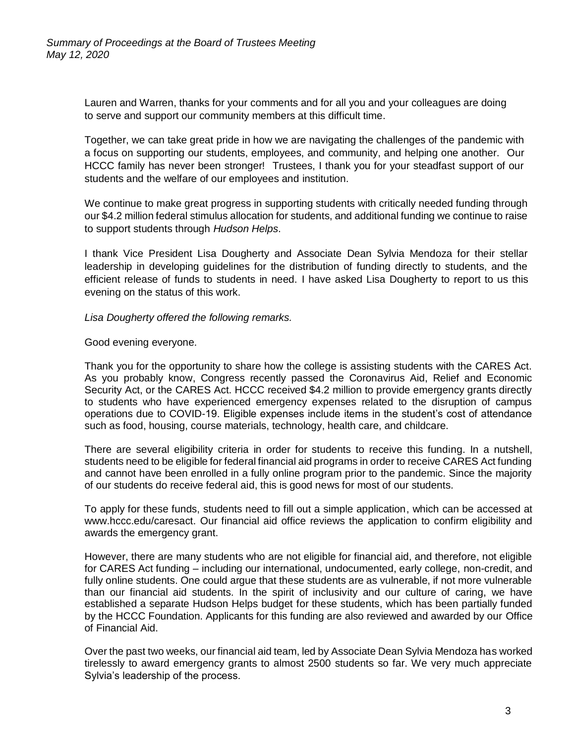Lauren and Warren, thanks for your comments and for all you and your colleagues are doing to serve and support our community members at this difficult time.

Together, we can take great pride in how we are navigating the challenges of the pandemic with a focus on supporting our students, employees, and community, and helping one another. Our HCCC family has never been stronger! Trustees, I thank you for your steadfast support of our students and the welfare of our employees and institution.

We continue to make great progress in supporting students with critically needed funding through our \$4.2 million federal stimulus allocation for students, and additional funding we continue to raise to support students through *Hudson Helps*.

I thank Vice President Lisa Dougherty and Associate Dean Sylvia Mendoza for their stellar leadership in developing guidelines for the distribution of funding directly to students, and the efficient release of funds to students in need. I have asked Lisa Dougherty to report to us this evening on the status of this work.

*Lisa Dougherty offered the following remarks.*

Good evening everyone.

Thank you for the opportunity to share how the college is assisting students with the CARES Act. As you probably know, Congress recently passed the Coronavirus Aid, Relief and Economic Security Act, or the CARES Act. HCCC received \$4.2 million to provide emergency grants directly to students who have experienced emergency expenses related to the disruption of campus operations due to COVID-19. Eligible expenses include items in the student's cost of attendance such as food, housing, course materials, technology, health care, and childcare.

There are several eligibility criteria in order for students to receive this funding. In a nutshell, students need to be eligible for federal financial aid programs in order to receive CARES Act funding and cannot have been enrolled in a fully online program prior to the pandemic. Since the majority of our students do receive federal aid, this is good news for most of our students.

To apply for these funds, students need to fill out a simple application, which can be accessed at [www.hccc.edu/caresact.](http://www.hccc.edu/caresact) Our financial aid office reviews the application to confirm eligibility and awards the emergency grant.

However, there are many students who are not eligible for financial aid, and therefore, not eligible for CARES Act funding – including our international, undocumented, early college, non-credit, and fully online students. One could argue that these students are as vulnerable, if not more vulnerable than our financial aid students. In the spirit of inclusivity and our culture of caring, we have established a separate Hudson Helps budget for these students, which has been partially funded by the HCCC Foundation. Applicants for this funding are also reviewed and awarded by our Office of Financial Aid.

Over the past two weeks, our financial aid team, led by Associate Dean Sylvia Mendoza has worked tirelessly to award emergency grants to almost 2500 students so far. We very much appreciate Sylvia's leadership of the process.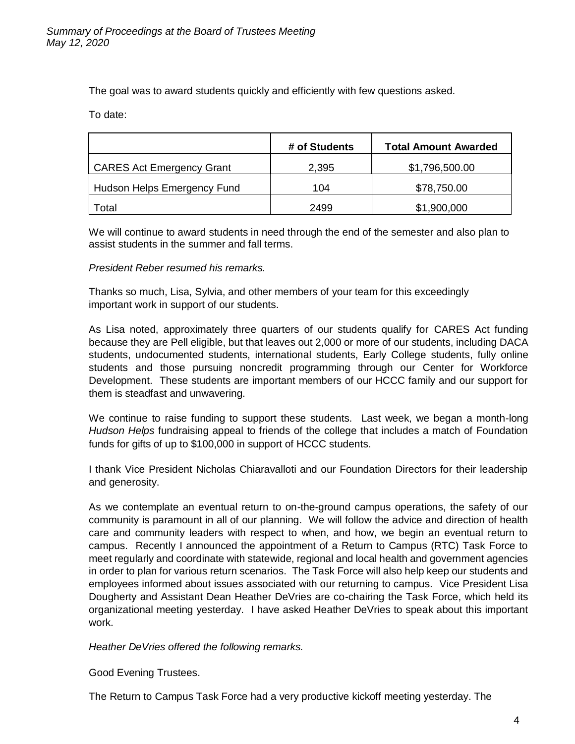The goal was to award students quickly and efficiently with few questions asked.

To date:

|                                  | # of Students | <b>Total Amount Awarded</b> |
|----------------------------------|---------------|-----------------------------|
| <b>CARES Act Emergency Grant</b> | 2,395         | \$1,796,500.00              |
| Hudson Helps Emergency Fund      | 104           | \$78,750.00                 |
| Total                            | 2499          | \$1,900,000                 |

We will continue to award students in need through the end of the semester and also plan to assist students in the summer and fall terms.

## *President Reber resumed his remarks.*

Thanks so much, Lisa, Sylvia, and other members of your team for this exceedingly important work in support of our students.

As Lisa noted, approximately three quarters of our students qualify for CARES Act funding because they are Pell eligible, but that leaves out 2,000 or more of our students, including DACA students, undocumented students, international students, Early College students, fully online students and those pursuing noncredit programming through our Center for Workforce Development. These students are important members of our HCCC family and our support for them is steadfast and unwavering.

We continue to raise funding to support these students. Last week, we began a month-long *Hudson Helps* fundraising appeal to friends of the college that includes a match of Foundation funds for gifts of up to \$100,000 in support of HCCC students.

I thank Vice President Nicholas Chiaravalloti and our Foundation Directors for their leadership and generosity.

As we contemplate an eventual return to on-the-ground campus operations, the safety of our community is paramount in all of our planning. We will follow the advice and direction of health care and community leaders with respect to when, and how, we begin an eventual return to campus. Recently I announced the appointment of a Return to Campus (RTC) Task Force to meet regularly and coordinate with statewide, regional and local health and government agencies in order to plan for various return scenarios. The Task Force will also help keep our students and employees informed about issues associated with our returning to campus. Vice President Lisa Dougherty and Assistant Dean Heather DeVries are co-chairing the Task Force, which held its organizational meeting yesterday. I have asked Heather DeVries to speak about this important work.

*Heather DeVries offered the following remarks.*

Good Evening Trustees.

The Return to Campus Task Force had a very productive kickoff meeting yesterday. The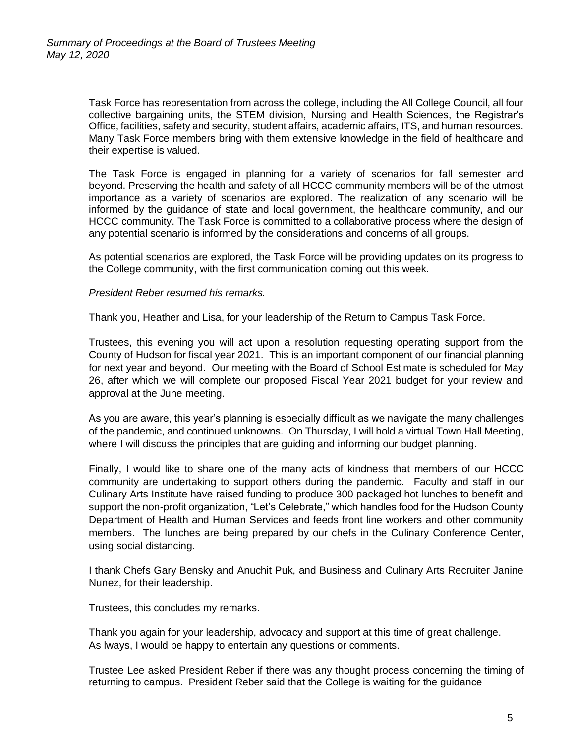Task Force has representation from across the college, including the All College Council, all four collective bargaining units, the STEM division, Nursing and Health Sciences, the Registrar's Office, facilities, safety and security, student affairs, academic affairs, ITS, and human resources. Many Task Force members bring with them extensive knowledge in the field of healthcare and their expertise is valued.

The Task Force is engaged in planning for a variety of scenarios for fall semester and beyond. Preserving the health and safety of all HCCC community members will be of the utmost importance as a variety of scenarios are explored. The realization of any scenario will be informed by the guidance of state and local government, the healthcare community, and our HCCC community. The Task Force is committed to a collaborative process where the design of any potential scenario is informed by the considerations and concerns of all groups.

As potential scenarios are explored, the Task Force will be providing updates on its progress to the College community, with the first communication coming out this week.

*President Reber resumed his remarks.*

Thank you, Heather and Lisa, for your leadership of the Return to Campus Task Force.

Trustees, this evening you will act upon a resolution requesting operating support from the County of Hudson for fiscal year 2021. This is an important component of our financial planning for next year and beyond. Our meeting with the Board of School Estimate is scheduled for May 26, after which we will complete our proposed Fiscal Year 2021 budget for your review and approval at the June meeting.

As you are aware, this year's planning is especially difficult as we navigate the many challenges of the pandemic, and continued unknowns. On Thursday, I will hold a virtual Town Hall Meeting, where I will discuss the principles that are quiding and informing our budget planning.

Finally, I would like to share one of the many acts of kindness that members of our HCCC community are undertaking to support others during the pandemic. Faculty and staff in our Culinary Arts Institute have raised funding to produce 300 packaged hot lunches to benefit and support the non-profit organization, "Let's Celebrate," which handles food for the Hudson County Department of Health and Human Services and feeds front line workers and other community members. The lunches are being prepared by our chefs in the Culinary Conference Center, using social distancing.

I thank Chefs Gary Bensky and Anuchit Puk, and Business and Culinary Arts Recruiter Janine Nunez, for their leadership.

Trustees, this concludes my remarks.

Thank you again for your leadership, advocacy and support at this time of great challenge. As lways, I would be happy to entertain any questions or comments.

Trustee Lee asked President Reber if there was any thought process concerning the timing of returning to campus. President Reber said that the College is waiting for the guidance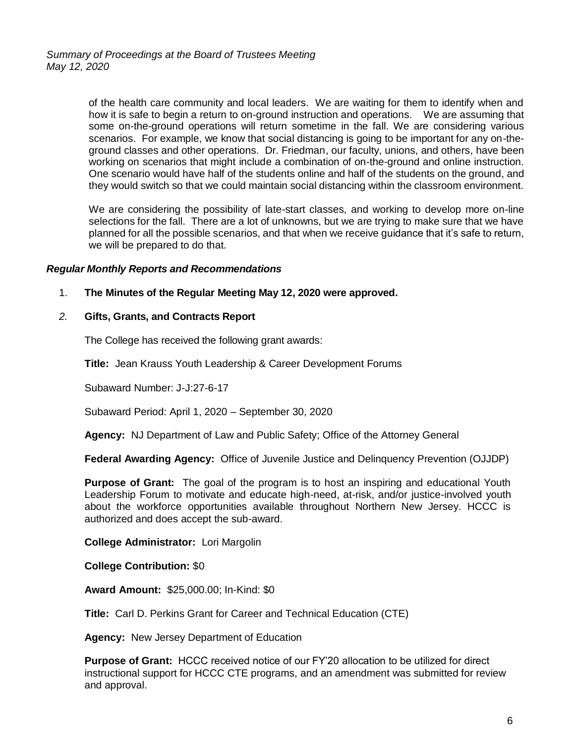of the health care community and local leaders. We are waiting for them to identify when and how it is safe to begin a return to on-ground instruction and operations. We are assuming that some on-the-ground operations will return sometime in the fall. We are considering various scenarios. For example, we know that social distancing is going to be important for any on-theground classes and other operations. Dr. Friedman, our faculty, unions, and others, have been working on scenarios that might include a combination of on-the-ground and online instruction. One scenario would have half of the students online and half of the students on the ground, and they would switch so that we could maintain social distancing within the classroom environment.

We are considering the possibility of late-start classes, and working to develop more on-line selections for the fall. There are a lot of unknowns, but we are trying to make sure that we have planned for all the possible scenarios, and that when we receive guidance that it's safe to return, we will be prepared to do that.

## *Regular Monthly Reports and Recommendations*

1. **The Minutes of the Regular Meeting May 12, 2020 were approved.**

#### *2.* **Gifts, Grants, and Contracts Report**

The College has received the following grant awards:

**Title:** Jean Krauss Youth Leadership & Career Development Forums

Subaward Number: J-J:27-6-17

Subaward Period: April 1, 2020 – September 30, 2020

**Agency:** NJ Department of Law and Public Safety; Office of the Attorney General

**Federal Awarding Agency:** Office of Juvenile Justice and Delinquency Prevention (OJJDP)

**Purpose of Grant:** The goal of the program is to host an inspiring and educational Youth Leadership Forum to motivate and educate high-need, at-risk, and/or justice-involved youth about the workforce opportunities available throughout Northern New Jersey. HCCC is authorized and does accept the sub-award.

**College Administrator:** Lori Margolin

**College Contribution:** \$0

**Award Amount:** \$25,000.00; In-Kind: \$0

**Title:** Carl D. Perkins Grant for Career and Technical Education (CTE)

**Agency:** New Jersey Department of Education

**Purpose of Grant:** HCCC received notice of our FY'20 allocation to be utilized for direct instructional support for HCCC CTE programs, and an amendment was submitted for review and approval.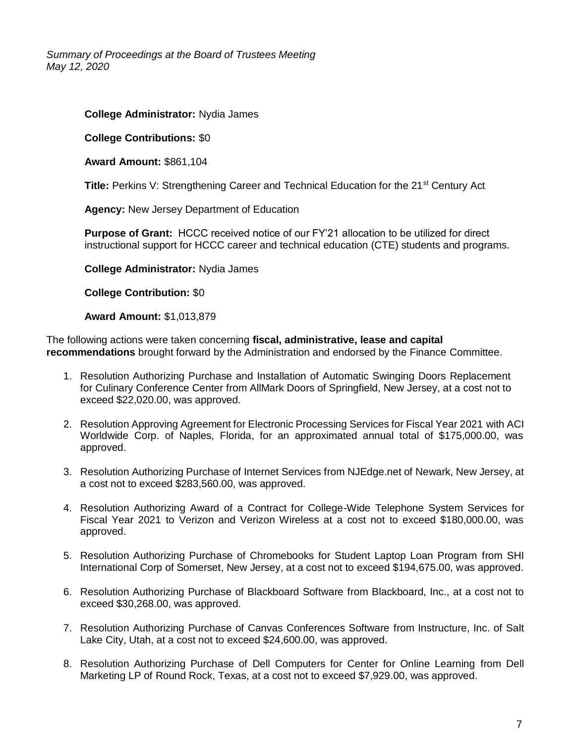*Summary of Proceedings at the Board of Trustees Meeting May 12, 2020*

## **College Administrator:** Nydia James

**College Contributions:** \$0

**Award Amount:** \$861,104

**Title:** Perkins V: Strengthening Career and Technical Education for the 21<sup>st</sup> Century Act

**Agency:** New Jersey Department of Education

**Purpose of Grant:** HCCC received notice of our FY'21 allocation to be utilized for direct instructional support for HCCC career and technical education (CTE) students and programs.

**College Administrator:** Nydia James

**College Contribution:** \$0

**Award Amount:** \$1,013,879

The following actions were taken concerning **fiscal, administrative, lease and capital recommendations** brought forward by the Administration and endorsed by the Finance Committee.

- 1. Resolution Authorizing Purchase and Installation of Automatic Swinging Doors Replacement for Culinary Conference Center from AllMark Doors of Springfield, New Jersey, at a cost not to exceed \$22,020.00, was approved.
- 2. Resolution Approving Agreement for Electronic Processing Services for Fiscal Year 2021 with ACI Worldwide Corp. of Naples, Florida, for an approximated annual total of \$175,000.00, was approved.
- 3. Resolution Authorizing Purchase of Internet Services from NJEdge.net of Newark, New Jersey, at a cost not to exceed \$283,560.00, was approved.
- 4. Resolution Authorizing Award of a Contract for College-Wide Telephone System Services for Fiscal Year 2021 to Verizon and Verizon Wireless at a cost not to exceed \$180,000.00, was approved.
- 5. Resolution Authorizing Purchase of Chromebooks for Student Laptop Loan Program from SHI International Corp of Somerset, New Jersey, at a cost not to exceed \$194,675.00, was approved.
- 6. Resolution Authorizing Purchase of Blackboard Software from Blackboard, Inc., at a cost not to exceed \$30,268.00, was approved.
- 7. Resolution Authorizing Purchase of Canvas Conferences Software from Instructure, Inc. of Salt Lake City, Utah, at a cost not to exceed \$24,600.00, was approved.
- 8. Resolution Authorizing Purchase of Dell Computers for Center for Online Learning from Dell Marketing LP of Round Rock, Texas, at a cost not to exceed \$7,929.00, was approved.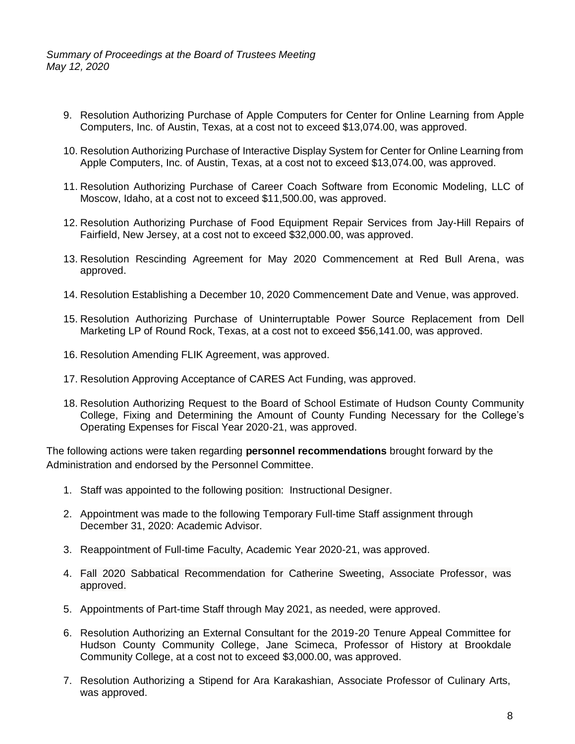*Summary of Proceedings at the Board of Trustees Meeting May 12, 2020*

- 9. Resolution Authorizing Purchase of Apple Computers for Center for Online Learning from Apple Computers, Inc. of Austin, Texas, at a cost not to exceed \$13,074.00, was approved.
- 10. Resolution Authorizing Purchase of Interactive Display System for Center for Online Learning from Apple Computers, Inc. of Austin, Texas, at a cost not to exceed \$13,074.00, was approved.
- 11. Resolution Authorizing Purchase of Career Coach Software from Economic Modeling, LLC of Moscow, Idaho, at a cost not to exceed \$11,500.00, was approved.
- 12. Resolution Authorizing Purchase of Food Equipment Repair Services from Jay-Hill Repairs of Fairfield, New Jersey, at a cost not to exceed \$32,000.00, was approved.
- 13. Resolution Rescinding Agreement for May 2020 Commencement at Red Bull Arena, was approved.
- 14. Resolution Establishing a December 10, 2020 Commencement Date and Venue, was approved.
- 15. Resolution Authorizing Purchase of Uninterruptable Power Source Replacement from Dell Marketing LP of Round Rock, Texas, at a cost not to exceed \$56,141.00, was approved.
- 16. Resolution Amending FLIK Agreement, was approved.
- 17. Resolution Approving Acceptance of CARES Act Funding, was approved.
- 18. Resolution Authorizing Request to the Board of School Estimate of Hudson County Community College, Fixing and Determining the Amount of County Funding Necessary for the College's Operating Expenses for Fiscal Year 2020-21, was approved.

The following actions were taken regarding **personnel recommendations** brought forward by the Administration and endorsed by the Personnel Committee.

- 1. Staff was appointed to the following position: Instructional Designer.
- 2. Appointment was made to the following Temporary Full-time Staff assignment through December 31, 2020: Academic Advisor.
- 3. Reappointment of Full-time Faculty, Academic Year 2020-21, was approved.
- 4. Fall 2020 Sabbatical Recommendation for Catherine Sweeting, Associate Professor, was approved.
- 5. Appointments of Part-time Staff through May 2021, as needed, were approved.
- 6. Resolution Authorizing an External Consultant for the 2019-20 Tenure Appeal Committee for Hudson County Community College, Jane Scimeca, Professor of History at Brookdale Community College, at a cost not to exceed \$3,000.00, was approved.
- 7. Resolution Authorizing a Stipend for Ara Karakashian, Associate Professor of Culinary Arts, was approved.